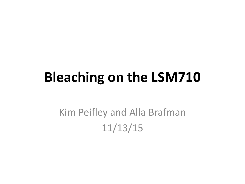## **Bleaching on the LSM710**

## Kim Peifley and Alla Brafman 11/13/15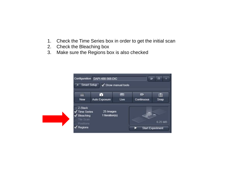- 1. Check the Time Series box in order to get the initial scan
- 2. Check the Bleaching box
- 3. Make sure the Regions box is also checked

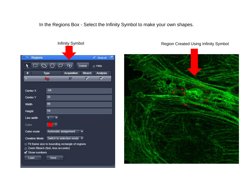In the Regions Box - Select the Infinity Symbol to make your own shapes.

|                                        |                                                 | <b>Infinity Symbol</b> |               |                 |  |
|----------------------------------------|-------------------------------------------------|------------------------|---------------|-----------------|--|
| Regions<br>ы                           |                                                 |                        |               | V<br>Show all   |  |
|                                        | $\Box$<br>$\circ$                               | $\infty$               | <b>Delete</b> | Hide            |  |
| #                                      | <b>Type</b>                                     | Acquisition            | <b>Bleach</b> | <b>Analysis</b> |  |
| $\blacksquare$                         | 90                                              |                        | M             | ⊽               |  |
|                                        | $-54$                                           |                        |               |                 |  |
| Center X                               |                                                 |                        |               |                 |  |
| Center Y                               | 32                                              |                        |               |                 |  |
| Width                                  | 88                                              |                        |               |                 |  |
| Height                                 | 54                                              |                        |               |                 |  |
| Line width                             | $\overline{1}$<br>٠                             |                        |               |                 |  |
| Color                                  |                                                 |                        |               |                 |  |
| Color mode                             | Automatic assignment                            |                        | ▼             |                 |  |
| Creation Mode Switch to selection mode |                                                 |                        |               |                 |  |
|                                        | Fit frame size to bounding rectangle of regions |                        |               |                 |  |
|                                        | Zoom Bleach (fast, less accurate)               |                        |               |                 |  |
| Show numbers                           |                                                 |                        |               |                 |  |
| Load                                   | Save                                            |                        |               |                 |  |

Region Created Using Infinity Symbol